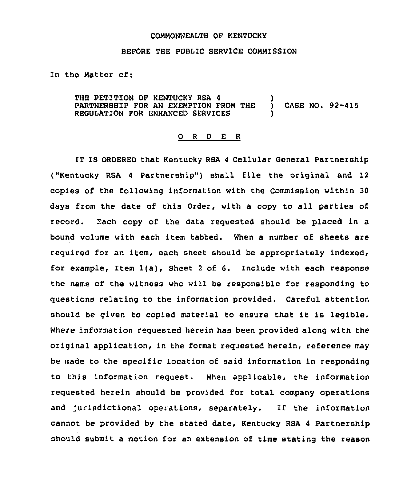## COMMONWEALTH OF KENTUCKY

## BEFORE THE PUBLIC SERVICE COMMISSION

In the Natter of:

THE PETITION OF KENTUCKY RSA 4 (CONTRESS) PARTNERSHIP FOR AN EXEMPTION FROM THE ) CASE NO. 92-415 REGULATION FOR ENHANCED SERVICES

## 0 <sup>R</sup> <sup>D</sup> E <sup>R</sup>

IT IS ORDERED that Kentucky RSA <sup>4</sup> Cellular General Partnership ("Kentucky RSA 4 Partnership") shall file the original and 12 copies of the following information with the Commission within 30 days from the date of this Order, with a copy to all parties of record. Each copy of the data requested should be placed in a bound volume with each item tabbed. When a number of sheets are required for an item, each sheet should be appropriately indexed, for example, Item 1(a), Sheet <sup>2</sup> of 6. Include with each response the name of the witness who will be responsible for responding to questions relating to the information provided. Careful attention should be given to copied material to ensure that it is legible. Where information requested herein has been provided along with the original application, in the format requested herein, reference may be made to the specific location of said information in responding to this information request. When applicable, the information requested herein should be provided for total company operations and jurisdictional operations, separately. If the information cannot be provided by the stated date, Kentucky RSA 4 Partnership should submit a motion for an extension of time stating the reason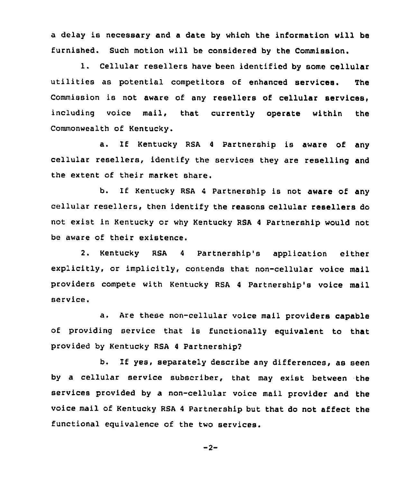a delay is necessary and a date by which the information will be furnished. Such motion will be considered by the Commission.

1. Cellular resellers have been identified by some cellular utilities as potential competitors of enhanced services. The Commission is not aware of any resellers of cellular services. including voice mail, that currently operate within the Commonwealth of Kentucky.

a. If Kentucky RSA <sup>4</sup> Partnership is aware of any cellular resellers, identify the services they are reselling and the extent of their market share.

b. If Kentucky RSA <sup>4</sup> Partnership is not aware of any cellular resellers, then identify the reasons cellular resellers do not exist in Kentucky or why Kentucky RSA <sup>4</sup> Partnership would not be aware of their existence.

2. Kentucky RSA <sup>4</sup> Partnership's application either explicitly, or implicitly, contends that non-cellular voice mail providers compete with Kentucky RSA <sup>4</sup> Partnership's voice mail service.

a. Are these non-cellular voice mail providers capable of providing service that is functionally equivalent to that provided by Kentucky RSA <sup>4</sup> Partnership2

b. If yes, separately describe any differences, as seen by a cellular service subscriber, that may exist between the services provided by a non-cellular voice mail provider and the voice mai1 of Kentucky RSA <sup>4</sup> Partnership but that do not affect the functional equivalence of the two services.

$$
-2-
$$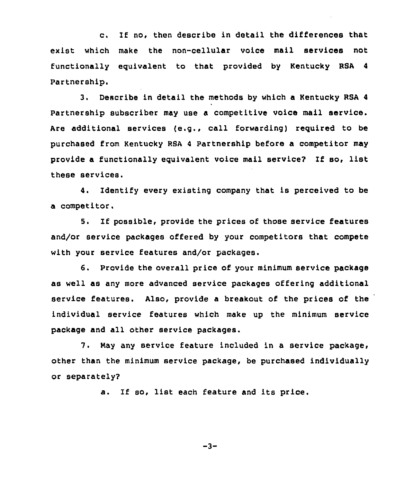c. If no, then describe in detail the differences that exist which make the non-cellular voice mail services not functionally equivalent to that provided by Kentucky RSA 4 Partnership.

3. Describe in detail the methods by which a Kentucky RSA <sup>4</sup> Partnership subscriber may use a competitive voice mail service. Are additional services (e.g., call forwarding) required to be purchased from Kentucky RSA <sup>4</sup> Partnership before a competitor may provide a functionally equivalent voice mail service? If so, list these services.

4. Identify every existing company that is perceived to be a competitor,

5. If possible, provide the prices of those service features and/or service packages offered by your competitors that compete with your service features and/or packages.

6. Provide the overall price of your minimum service package as well as any more advanced service packages offering additional service features. Also, provide a breakout of the prices of the individual service features which make up the minimum service package and all other service packages.

7. Nay any service feature included in a service package, other than the minimum service package, be purchased individually or separately?

a. If so, list each feature and its price.

$$
-3-
$$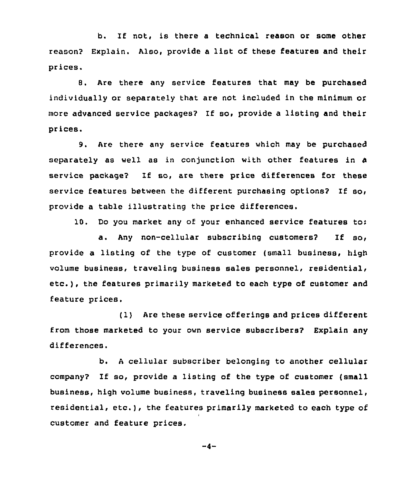b. If not, is there a technical reason or some other reason? Explain. Also, provide <sup>a</sup> list of these features and their prices.

8. Are there any service features that may be purchased individually or separately that are not included in the minimum or more advanced service packages? If so, provide a listing and their prices.

9. Are there any service features which may be purchased separately as well as in conjunction with other features in a service package2 If so, are there price differences for these service features between the different purchasing options? If so, provide a table illustrating the price differences.

10. Do you market any of your enhanced service features to:

a. Any non-cellular subscribing customers? If so, provide a listing of the type of customer {small business, high volume business, traveling business sales personnel, residential, etc.), the features primarily marketed to each type of customer and feature prices.

{1) Are these service offerings and prices different from those marketed to your own service subscribers? Explain any differences.

b. <sup>A</sup> cellular subscriber belonging to another cellular company? If so, provide <sup>a</sup> listing of the type of customer {small business, high volume business, traveling business sales personnel, residential, etc.), the features primarily marketed to each type of customer and feature prices,

$$
-4-
$$